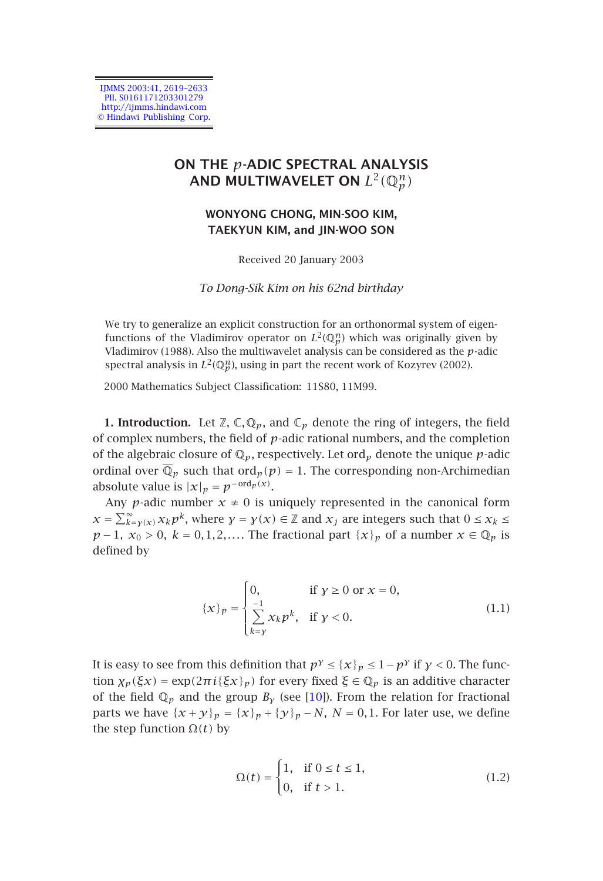IJMMS 2003:41, 2619–2633 PIL S0161171203301279 http://ijmms.hindawi.com © Hindawi Publishing Corp.

## **ON THE** *p***-ADIC SPECTRAL ANALYSIS** AND MULTIWAVELET ON  $L^2(\mathbb{Q}_p^n)$

## **WONYONG CHONG, MIN-SOO KIM, TAEKYUN KIM, and JIN-WOO SON**

Received 20 January 2003

*To Dong-Sik Kim on his 62nd birthday*

<span id="page-0-0"></span>We try to generalize an explicit construction for an orthonormal system of eigenfunctions of the Vladimirov operator on  $L^2(\mathbb{Q}_p^n)$  which was originally given by Vladimirov (1988). Also the multiwavelet analysis can be considered as the *p*-adic spectral analysis in  $L^2(\mathbb{Q}_p^n)$ , using in part the recent work of Kozyrev (2002).

2000 Mathematics Subject Classification: 11S80, 11M99.

**1. Introduction.** Let  $\mathbb{Z}$ ,  $\mathbb{C}$ ,  $\mathbb{Q}_p$ , and  $\mathbb{C}_p$  denote the ring of integers, the field of complex numbers, the field of *p*-adic rational numbers, and the completion of the algebraic closure of  $\mathbb{Q}_p$ , respectively. Let ord<sub>p</sub> denote the unique *p*-adic ordinal over  $\overline{\mathbb{Q}}_p$  such that ord<sub>p</sub>( $p$ ) = 1. The corresponding non-Archimedian absolute value is  $|x|_p = p^{-\text{ord}_p(x)}$ .

Any *p*-adic number  $x \neq 0$  is uniquely represented in the canonical form  $x = \sum_{k=y}(x) x_k p^k$ , where  $y = y(x) \in \mathbb{Z}$  and  $x_j$  are integers such that  $0 \le x_k \le$ *p* − 1*, x*<sup>0</sup> > 0*, k* = 0*,*1*,*2*,....* The fractional part  $\{x\}_p$  of a number *x* ∈  $\mathbb{Q}_p$  is defined by

$$
\{\mathcal{X}\}_p = \begin{cases} 0, & \text{if } \mathcal{Y} \ge 0 \text{ or } \mathcal{X} = 0, \\ \sum_{k=y}^{-1} x_k p^k, & \text{if } \mathcal{Y} < 0. \end{cases} \tag{1.1}
$$

It is easy to see from this definition that  $p^{\gamma} \leq \{x\}_p \leq 1 - p^{\gamma}$  if  $\gamma < 0$ . The function  $\chi_p(\xi x) = \exp(2\pi i {\xi x}_p)$  for every fixed  $\xi \in \mathbb{Q}_p$  is an additive character of the field  $\mathbb{Q}_p$  and the group  $B_\gamma$  (see [10]). From the relation for fractional parts we have  $\{x + y\}_p = \{x\}_p + \{y\}_p - N$ ,  $N = 0, 1$ . For later use, we define the step function  $Ω(t)$  by

$$
\Omega(t) = \begin{cases} 1, & \text{if } 0 \le t \le 1, \\ 0, & \text{if } t > 1. \end{cases}
$$
 (1.2)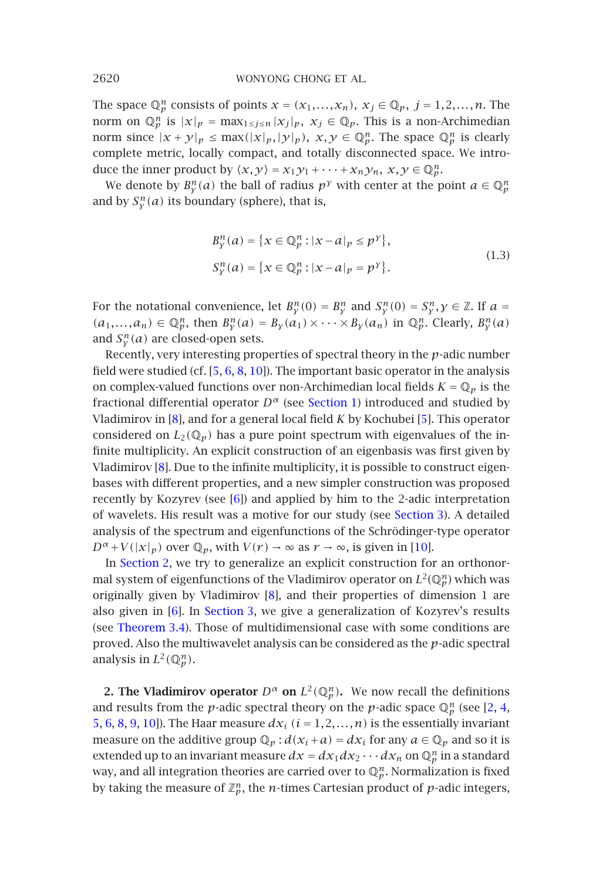The space  $\mathbb{Q}_p^n$  consists of points  $x = (x_1, \ldots, x_n)$ ,  $x_j \in \mathbb{Q}_p$ ,  $j = 1, 2, \ldots, n$ . The norm on  $\mathbb{Q}_p^n$  is  $|x|_p = \max_{1 \le j \le n} |x_j|_p$ ,  $x_j \in \mathbb{Q}_p$ . This is a non-Archimedian norm since  $|x + y|_p \le \max(|x|_p, |y|_p), x, y \in \mathbb{Q}_p^n$ . The space  $\mathbb{Q}_p^n$  is clearly complete metric, locally compact, and totally disconnected space. We introduce the inner product by  $\langle x, y \rangle = x_1 y_1 + \cdots + x_n y_n, x, y \in \mathbb{Q}_p^n$ .

We denote by  $B_v^n(a)$  the ball of radius  $p^{\gamma}$  with center at the point  $a \in \mathbb{Q}_p^n$ and by  $S_{\nu}^n(a)$  its boundary (sphere), that is,

$$
B_{y}^{n}(a) = \{x \in \mathbb{Q}_{p}^{n} : |x - a|_{p} \le p^{\gamma}\},\
$$
  

$$
S_{y}^{n}(a) = \{x \in \mathbb{Q}_{p}^{n} : |x - a|_{p} = p^{\gamma}\}.
$$
 (1.3)

For the notational convenience, let  $B_v^n(0) = B_v^n$  and  $S_v^n(0) = S_v^n$ ,  $\gamma \in \mathbb{Z}$ . If  $a =$  $(a_1, \ldots, a_n) \in \mathbb{Q}_p^n$ , then  $B_\gamma^n(a) = B_\gamma(a_1) \times \cdots \times B_\gamma(a_n)$  in  $\mathbb{Q}_p^n$ . Clearly,  $B_\gamma^n(a)$ and  $S_{\nu}^{n}(a)$  are closed-open sets.

Recently, very interesti[ng](#page-13-1) properties of spectral theory in the *p*-adic number field were studied (cf. [5, 6, 8, 10]). The important basic o[perator in](#page-11-0) the analysis on complex-valued functions over non-Archimedian local fields  $K = \mathbb{Q}_p$  is the fractional differential operator  $D^{\alpha}$  (see Section 1) introduc[ed a](#page-14-1)nd studied by Vlad[imirov in \[](#page-1-0)8], and for a general local field *K* by Kochubei [5]. This operator considered on  $L_2(\mathbb{Q}_p)$  has a pure point spectrum with eigenvalues of the infinite multiplicity. An explicit co[ns](#page-14-0)truction of an eigenbasis was first given by Vladimirov [8][. D](#page-13-1)ue t[o the infin](#page-11-0)ite multiplicity, it is possible to construct eigenbas[es with differe](#page-12-0)nt properties, and a new simpler construction was proposed recently by Kozyrev (see [6]) and applied by him to the 2-adic interpretation of wavelets. His result was a motive for our study (see Section 3). A detailed analysis of the spectrum and eigenfunctions of the Schrödinger-type operator  $D^{\alpha}$  + *V*( $|x|_p$ ) over  $\mathbb{Q}_p$ , with  $V(r) \rightarrow \infty$  as  $r \rightarrow \infty$ , is given in [10].

<span id="page-1-0"></span>In Section 2, we try to generalize an explicit construction for an orth[on](#page-13-2)[or](#page-13-3)[m](#page-13-0)[al](#page-13-1) [sy](#page-14-0)[st](#page-14-2)[em o](#page-14-1)f eigenfunctions of the Vladimirov operator on  $L^2(\mathbb{Q}_p^n)$  which was originally given by Vladimirov [8], and their properties of dimension 1 are also given in [6]. In Section 3, we give a generalization of Kozyrev's results (see Theorem 3.4). Those of multidimensional case with some conditions are proved. Also the multiwavelet analysis can be considered as the *p*-adic spectral analysis in  $L^2(\mathbb{Q}_p^n)$ .

**2. The Vladimirov operator**  $D^{\alpha}$  on  $L^2(\mathbb{Q}_p^n)$ . We now recall the definitions and results from the *p*-adic spectral theory on the *p*-adic space  $\mathbb{Q}_p^n$  (see [2, 4, 5, 6, 8, 9, 10]). The Haar measure  $dx_i$   $(i = 1, 2, ..., n)$  is the essentially invariant measure on the additive group  $\mathbb{Q}_p$  :  $d(x_i + a) = dx_i$  for any  $a \in \mathbb{Q}_p$  and so it is extended up to an invariant measure  $dx = dx_1 dx_2 \cdots dx_n$  on  $\mathbb{Q}_p^n$  in a standard way, and all integration theories are carried over to  $\mathbb{Q}_p^n$ . Normalization is fixed by taking the measure of  $\mathbb{Z}_p^n$ , the *n*-times Cartesian product of *p*-adic integers,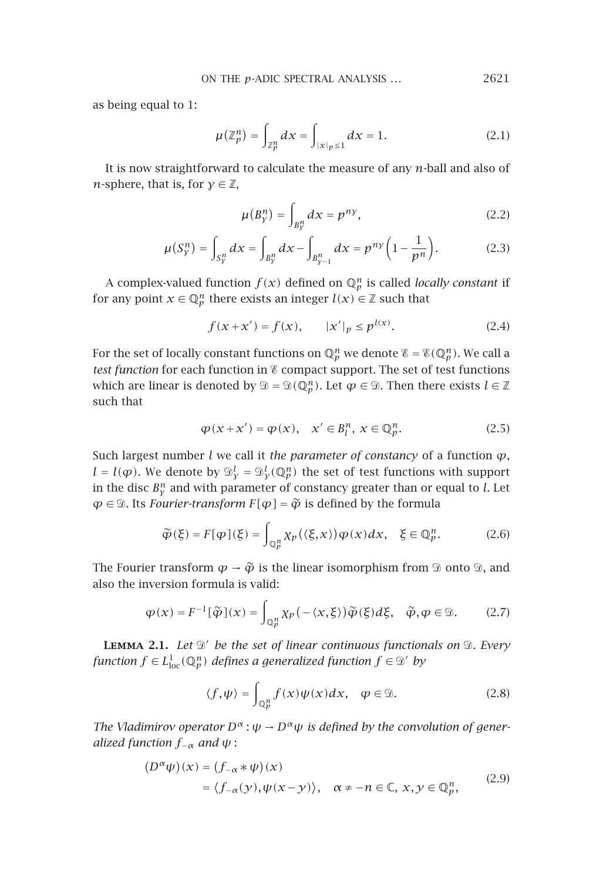as being equal to 1:

$$
\mu(\mathbb{Z}_p^n) = \int_{\mathbb{Z}_p^n} dx = \int_{|x|_p \le 1} dx = 1.
$$
\n(2.1)

It is now straightforward to calculate the measure of any *n*-ball and also of *n*-sphere, that is, for  $\gamma \in \mathbb{Z}$ ,

<span id="page-2-0"></span>
$$
\mu(B_y^n) = \int_{B_y^n} dx = p^{ny},\tag{2.2}
$$

$$
\mu(S_{\mathcal{Y}}^n) = \int_{S_{\mathcal{Y}}^n} dx = \int_{B_{\mathcal{Y}}^n} dx - \int_{B_{\mathcal{Y}-1}^n} dx = p^{ny} \left( 1 - \frac{1}{p^n} \right). \tag{2.3}
$$

A complex-valued function  $f(x)$  defined on  $\mathbb{Q}_p^n$  is called *locally constant* if for any point  $x \in \mathbb{Q}_p^n$  there exists an integer  $l(x) \in \mathbb{Z}$  such that

$$
f(x + x') = f(x), \qquad |x'|_p \le p^{l(x)}.
$$
 (2.4)

For the set of locally constant functions on  $\mathbb{Q}_p^n$  we denote  $\mathscr{E} = \mathscr{E}(\mathbb{Q}_p^n)$ . We call a *test function* for each function in & compact support. The set of test functions which are linear is denoted by  $\mathcal{D} = \mathcal{D}(\mathbb{Q}_p^n)$ . Let  $\varphi \in \mathcal{D}$ . Then there exists  $l \in \mathbb{Z}$ such that

$$
\varphi(x + x') = \varphi(x), \quad x' \in B_l^n, \ x \in \mathbb{Q}_p^n. \tag{2.5}
$$

Such largest number *l* we call it *the parameter of constancy* of a function *ϕ*,  $l = l(\varphi)$ . We denote by  $\mathcal{D}_{\mathbf{y}}^l = \mathcal{D}_{\mathbf{y}}^l(\mathbb{Q}_{\mathbf{p}}^n)$  the set of test functions with support in the disc  $B^n_{\nu}$  and with parameter of constancy greater than or equal to *l*. Let  $\varphi \in \mathcal{D}$ . Its *Fourier-transform*  $F[\varphi] = \widetilde{\varphi}$  is defined by the formula

$$
\widetilde{\varphi}(\xi) = F[\varphi](\xi) = \int_{\mathbb{Q}_p^n} \chi_p(\langle \xi, x \rangle) \varphi(x) dx, \quad \xi \in \mathbb{Q}_p^n. \tag{2.6}
$$

The Fourier transform  $\varphi \to \tilde{\varphi}$  is the linear isomorphism from  $\mathcal D$  onto  $\mathcal D$ , and also the invention formula is unlide. also the inversion formula is valid:

$$
\varphi(x) = F^{-1}[\widetilde{\varphi}](x) = \int_{\mathbb{Q}_p^n} \chi_p(-\langle x, \xi \rangle) \widetilde{\varphi}(\xi) d\xi, \quad \widetilde{\varphi}, \varphi \in \mathcal{D}.\tag{2.7}
$$

LEMMA 2.1. Let  $\mathcal{D}'$  be the set of linear continuous functionals on  $\mathcal{D}$ . Every *function*  $f \in L^1_{loc}(\mathbb{Q}_p^n)$  *defines a generalized function*  $f \in \mathcal{D}'$  *by* 

$$
\langle f, \psi \rangle = \int_{\mathbb{Q}_p^n} f(x) \psi(x) dx, \quad \varphi \in \mathcal{D}.\tag{2.8}
$$

*The Vladimirov operator*  $D^{\alpha}$ :  $\psi \to D^{\alpha} \psi$  *is defined by the convolution of generalized function*  $f_{-\alpha}$  *and*  $\psi$  :

$$
(D^{\alpha}\psi)(x) = (f_{-\alpha} * \psi)(x)
$$
  
=  $\langle f_{-\alpha}(y), \psi(x - y) \rangle$ ,  $\alpha \neq -n \in \mathbb{C}$ ,  $x, y \in \mathbb{Q}_p^n$ , (2.9)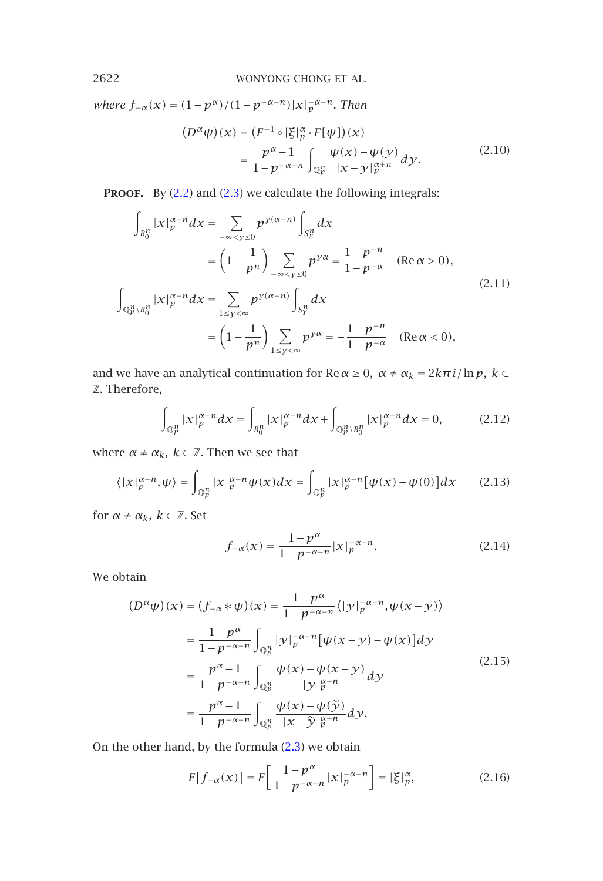*where*  $f_{-\alpha}(x) = (1 - p^{\alpha})/(1 - p^{-\alpha - n})|x|_p^{-\alpha - n}$ . Then

$$
(D^{\alpha}\psi)(x) = (F^{-1} \circ |\xi|_p^{\alpha} \cdot F[\psi])(x)
$$
  
= 
$$
\frac{p^{\alpha}-1}{1-p^{-\alpha-n}} \int_{\mathbb{Q}_p^n} \frac{\psi(x) - \psi(y)}{|x - y|_p^{\alpha+n}} dy.
$$
 (2.10)

**PROOF.** By (2.2) and (2.3) we calculate the following integrals:

$$
\int_{B_0^n} |x|_p^{\alpha-n} dx = \sum_{-\infty < y \le 0} p^{y(\alpha-n)} \int_{S_y^n} dx
$$
\n
$$
= \left(1 - \frac{1}{p^n}\right) \sum_{-\infty < y \le 0} p^{y\alpha} = \frac{1 - p^{-n}}{1 - p^{-\alpha}} \quad (\text{Re}\,\alpha > 0),
$$
\n
$$
\int_{\mathbb{Q}_p^n \setminus B_0^n} |x|_p^{\alpha-n} dx = \sum_{1 \le y < \infty} p^{y(\alpha-n)} \int_{S_y^n} dx
$$
\n
$$
= \left(1 - \frac{1}{p^n}\right) \sum_{1 \le y < \infty} p^{y\alpha} = -\frac{1 - p^{-n}}{1 - p^{-\alpha}} \quad (\text{Re}\,\alpha < 0),
$$
\n
$$
(2.11)
$$

and we have an analytical continuation for  $\text{Re}\,\alpha \geq 0$ ,  $\alpha \neq \alpha_k = 2k\pi i/\ln p$ ,  $k \in$ Z. Therefore,

$$
\int_{\mathbb{Q}_p^n} |x|_p^{\alpha-n} dx = \int_{B_0^n} |x|_p^{\alpha-n} dx + \int_{\mathbb{Q}_p^n \setminus B_0^n} |x|_p^{\alpha-n} dx = 0, \tag{2.12}
$$

where  $\alpha \neq \alpha_k$ ,  $k \in \mathbb{Z}$ . Then we see that

$$
\langle |x|_p^{\alpha-n}, \psi \rangle = \int_{\mathbb{Q}_p^n} |x|_p^{\alpha-n} \psi(x) dx = \int_{\mathbb{Q}_p^n} |x|_p^{\alpha-n} [\psi(x) - \psi(0)] dx \qquad (2.13)
$$

for  $\alpha \neq \alpha_k$ ,  $k \in \mathbb{Z}$ . Set

$$
f_{-\alpha}(x) = \frac{1 - p^{\alpha}}{1 - p^{-\alpha - n}} |x|_p^{-\alpha - n}.
$$
 (2.14)

We obtain

$$
(D^{\alpha}\psi)(x) = (f_{-\alpha} * \psi)(x) = \frac{1 - p^{\alpha}}{1 - p^{-\alpha - n}} \langle |y|_p^{-\alpha - n}, \psi(x - y) \rangle
$$
  

$$
= \frac{1 - p^{\alpha}}{1 - p^{-\alpha - n}} \int_{\mathbb{Q}_p^n} |y|_p^{-\alpha - n} [\psi(x - y) - \psi(x)] dy
$$
  

$$
= \frac{p^{\alpha} - 1}{1 - p^{-\alpha - n}} \int_{\mathbb{Q}_p^n} \frac{\psi(x) - \psi(x - y)}{|y|_p^{\alpha + n}} dy
$$
  

$$
= \frac{p^{\alpha} - 1}{1 - p^{-\alpha - n}} \int_{\mathbb{Q}_p^n} \frac{\psi(x) - \psi(\tilde{y})}{|x - \tilde{y}|_p^{\alpha + n}} dy.
$$
 (2.15)

On the other hand, by the formula (2.3) we obtain

$$
F[f_{-\alpha}(x)] = F\left[\frac{1-p^{\alpha}}{1-p^{-\alpha-n}}|x|_p^{-\alpha-n}\right] = |\xi|_p^{\alpha},\tag{2.16}
$$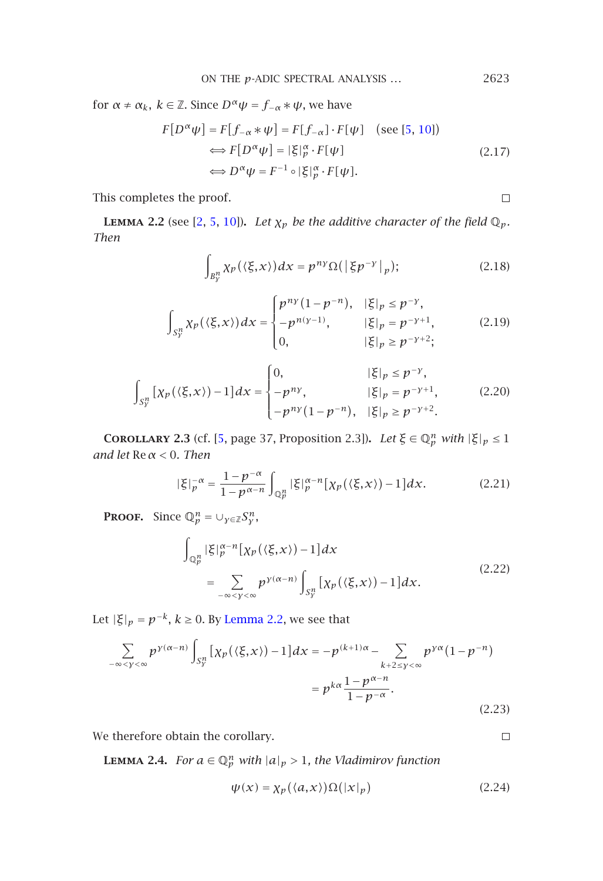ON THE 
$$
p
$$
-ADIC SPECTRAL ANALYSIS ...  $2623$ 

<span id="page-4-0"></span>for  $\alpha \neq \alpha_k$ ,  $k \in \mathbb{Z}$ . Since  $D^{\alpha} \psi = f_{-\alpha} * \psi$ , we have

$$
F[D^{\alpha}\psi] = F[f_{-\alpha} * \psi] = F[f_{-\alpha}] \cdot F[\psi] \quad \text{(see [5, 10])}
$$

$$
\iff F[D^{\alpha}\psi] = |\xi|_{p}^{\alpha} \cdot F[\psi] \quad \text{(2.17)}
$$

$$
\iff D^{\alpha}\psi = F^{-1} \circ |\xi|_{p}^{\alpha} \cdot F[\psi].
$$

This completes the proof.

<span id="page-4-1"></span> $\Box$ 

 $\Box$ 

**LEMMA 2.2** (see [2, 5, 10]). *Let*  $\chi_p$  *be the additive character of the field*  $\mathbb{Q}_p$ *. Then*

$$
\int_{B_y^n} \chi_p(\langle \xi, x \rangle) dx = p^{ny} \Omega(|\xi p^{-y}|_p); \tag{2.18}
$$

$$
\int_{S_y^n} \chi_p(\langle \xi, x \rangle) dx = \begin{cases} p^{ny} (1 - p^{-n}), & |\xi|_p \le p^{-y}, \\ -p^{n(y-1)}, & |\xi|_p = p^{-y+1}, \\ 0, & |\xi|_p \ge p^{-y+2}; \end{cases}
$$
 (2.19)

$$
\int_{S_y^n} \left[ \chi_p(\langle \xi, x \rangle) - 1 \right] dx = \begin{cases} 0, & |\xi|_p \le p^{-\gamma}, \\ -p^{ny}, & |\xi|_p = p^{-\gamma+1}, \\ -p^{ny}(1-p^{-n}), & |\xi|_p \ge p^{-\gamma+2}. \end{cases}
$$
(2.20)

**COROLLARY** 2.3 (cf. [5, page 37, Proposition 2.3]). *Let*  $\xi \in \mathbb{Q}_p^n$  *with*  $|\xi|_p \leq 1$ *and let* Re*α <* 0*. Then*

$$
|\xi|_p^{-\alpha} = \frac{1 - p^{-\alpha}}{1 - p^{\alpha - n}} \int_{\mathbb{Q}_p^n} |\xi|_p^{\alpha - n} [\chi_p(\langle \xi, x \rangle) - 1] dx.
$$
 (2.21)

**PROOF.** Since  $\mathbb{Q}_p^n = \bigcup_{\gamma \in \mathbb{Z}} S_{\gamma}^n$ ,

$$
\int_{\mathbb{Q}_p^n} |\xi|_p^{\alpha - n} [\chi_p(\langle \xi, x \rangle) - 1] dx
$$
\n
$$
= \sum_{-\infty < y < \infty} p^{y(\alpha - n)} \int_{S_y^n} [\chi_p(\langle \xi, x \rangle) - 1] dx. \tag{2.22}
$$

<span id="page-4-2"></span>Let  $|\xi|_p = p^{-k}$ ,  $k \ge 0$ . By Lemma 2.2, we see that

$$
\sum_{-\infty < y < \infty} p^{y(\alpha - n)} \int_{S_y^n} \left[ \chi_p(\langle \xi, x \rangle) - 1 \right] dx = -p^{(k+1)\alpha} - \sum_{k+2 \le y < \infty} p^{y\alpha} (1 - p^{-n})
$$

$$
= p^{k\alpha} \frac{1 - p^{\alpha - n}}{1 - p^{-\alpha}}.
$$
(2.23)

We therefore obtain the corollary.

**LEMMA 2.4.** *For*  $a \in \mathbb{Q}_p^n$  *with*  $|a|_p > 1$ *, the Vladimirov function* 

$$
\psi(x) = \chi_p(\langle a, x \rangle) \Omega(|x|_p) \tag{2.24}
$$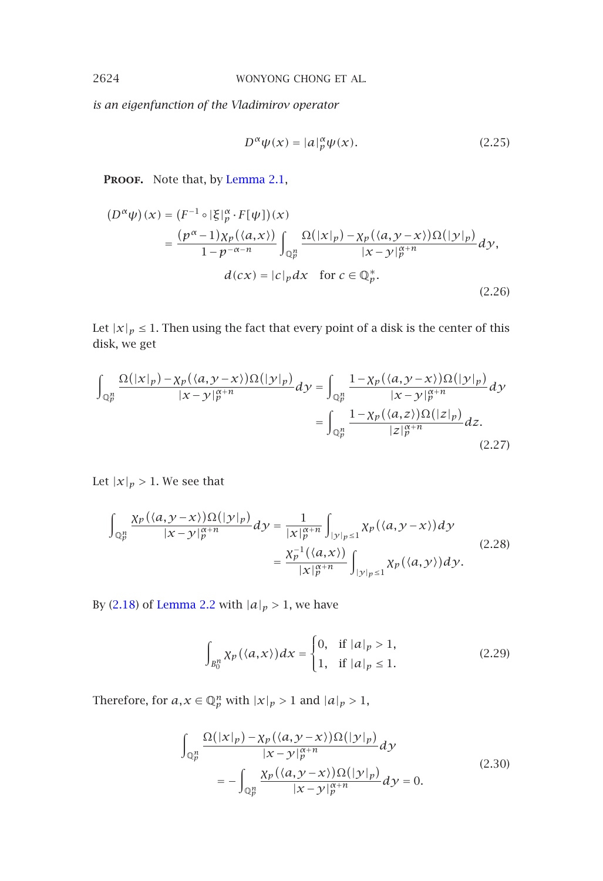*is an eigenfunction of the Vladimirov operator*

$$
D^{\alpha}\psi(x) = |a|_p^{\alpha}\psi(x). \tag{2.25}
$$

PROOF. Note that, by Lemma 2.1,

$$
(D^{\alpha}\psi)(x) = (F^{-1} \circ |\xi|_p^{\alpha} \cdot F[\psi])(x)
$$
  
= 
$$
\frac{(p^{\alpha}-1)\chi_p(\langle a,x\rangle)}{1-p^{-\alpha-n}} \int_{\mathbb{Q}_p^n} \frac{\Omega(|x|_p) - \chi_p(\langle a,y-x\rangle)\Omega(|y|_p)}{|x-y|_p^{\alpha+n}} dy,
$$
  

$$
d(cx) = |c|_p dx \text{ for } c \in \mathbb{Q}_p^*.
$$
 (2.26)

Let  $|x|_p\leq 1.$  Then using the fact that every point of a disk is the center of this disk, we get

$$
\int_{\mathbb{Q}_p^n} \frac{\Omega(|x|_p) - \chi_p(\langle a, y - x \rangle) \Omega(|y|_p)}{|x - y|_p^{\alpha + n}} dy = \int_{\mathbb{Q}_p^n} \frac{1 - \chi_p(\langle a, y - x \rangle) \Omega(|y|_p)}{|x - y|_p^{\alpha + n}} dy
$$

$$
= \int_{\mathbb{Q}_p^n} \frac{1 - \chi_p(\langle a, z \rangle) \Omega(|z|_p)}{|z|_p^{\alpha + n}} dz.
$$
\n(2.27)

Let  $|x|_p > 1$ . We see that

$$
\int_{\mathbb{Q}_p^n} \frac{\chi_p(\langle a, y - x \rangle) \Omega(|y|_p)}{|x - y|_p^{\alpha + n}} dy = \frac{1}{|x|_p^{\alpha + n}} \int_{|y|_p \le 1} \chi_p(\langle a, y - x \rangle) dy
$$
\n
$$
= \frac{\chi_p^{-1}(\langle a, x \rangle)}{|x|_p^{\alpha + n}} \int_{|y|_p \le 1} \chi_p(\langle a, y \rangle) dy.
$$
\n(2.28)

By (2.18) of Lemma 2.2 with  $|a|_p > 1$ , we have

$$
\int_{B_0^n} \chi_p(\langle a, x \rangle) dx = \begin{cases} 0, & \text{if } |a|_p > 1, \\ 1, & \text{if } |a|_p \le 1. \end{cases}
$$
 (2.29)

Therefore, for  $a, x \in \mathbb{Q}_p^n$  with  $|x|_p > 1$  and  $|a|_p > 1$ ,

$$
\int_{\mathbb{Q}_p^n} \frac{\Omega(|x|_p) - \chi_p(\langle a, y - x \rangle) \Omega(|y|_p)}{|x - y|_p^{\alpha + n}} dy
$$
\n
$$
= -\int_{\mathbb{Q}_p^n} \frac{\chi_p(\langle a, y - x \rangle) \Omega(|y|_p)}{|x - y|_p^{\alpha + n}} dy = 0.
$$
\n(2.30)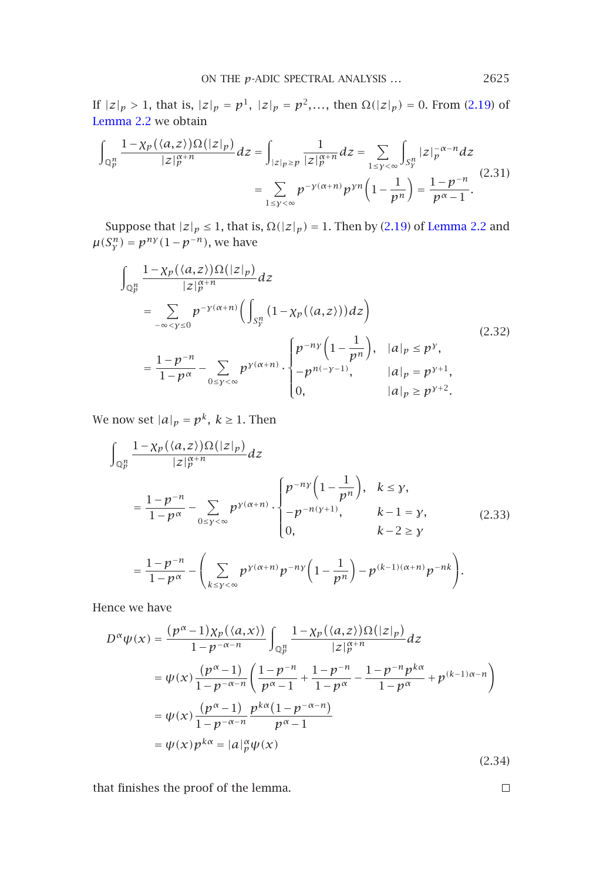ON THE 
$$
p
$$
-ADIC SPECTRAL ANALYSIS ...  $2625$ 

If  $|z|_p > 1$ , that is,  $|z|_p = p^1$ ,  $|z|_p = p^2$ ,..., then  $\Omega(|z|_p) = 0$ . From (2.19) of Lemma 2.2 we obtain

$$
\int_{\mathbb{Q}_p^n} \frac{1 - \chi_p(\langle a, z \rangle) \Omega(|z|_p)}{|z|_p^{\alpha + n}} dz = \int_{|z|_p \ge p} \frac{1}{|z|_p^{\alpha + n}} dz = \sum_{1 \le y < \infty} \int_{S_y^n} |z|_p^{-\alpha - n} dz
$$
\n
$$
= \sum_{1 \le y < \infty} p^{-y(\alpha + n)} p^{yn} \left(1 - \frac{1}{p^n}\right) = \frac{1 - p^{-n}}{p^{\alpha} - 1}.
$$
\n(2.31)

Suppose that  $|z|_p \leq 1$ , that is,  $\Omega(|z|_p) = 1$ . Then by (2.19) of Lemma 2.2 and  $\mu(S_Y^n) = p^{ny}(1-p^{-n})$ , we have

$$
\int_{\mathbb{Q}_p^n} \frac{1 - \chi_p(\langle a, z \rangle) \Omega(|z|_p)}{|z|_p^{\alpha+n}} dz
$$
\n
$$
= \sum_{-\infty < y \le 0} p^{-y(\alpha+n)} \Big( \int_{S_y^n} (1 - \chi_p(\langle a, z \rangle)) dz \Big)
$$
\n
$$
= \frac{1 - p^{-n}}{1 - p^{\alpha}} - \sum_{0 \le y < \infty} p^{y(\alpha+n)} \cdot \begin{cases} p^{-ny} \Big( 1 - \frac{1}{p^n} \Big), & |a|_p \le p^y, \\ -p^{n(-y-1)}, & |a|_p = p^{y+1}, \\ 0, & |a|_p \ge p^{y+2}. \end{cases}
$$
\n(2.32)

We now set  $|a|_p = p^k$ ,  $k \ge 1$ . Then

$$
\int_{\mathbb{Q}_p^n} \frac{1 - \chi_p(\langle a, z \rangle) \Omega(|z|_p)}{|z|_p^{\alpha+n}} dz
$$
\n
$$
= \frac{1 - p^{-n}}{1 - p^{\alpha}} - \sum_{0 \le y < \infty} p^{y(\alpha+n)} \cdot \begin{cases} p^{-ny} \left(1 - \frac{1}{p^n}\right), & k \le y, \\ -p^{-n(y+1)}, & k - 1 = y, \\ 0, & k - 2 \ge y \end{cases}
$$
\n
$$
= \frac{1 - p^{-n}}{1 - p^{\alpha}} - \left(\sum_{k \le y < \infty} p^{y(\alpha+n)} p^{-ny} \left(1 - \frac{1}{p^n}\right) - p^{(k-1)(\alpha+n)} p^{-nk}\right).
$$
\n(2.33)

Hence we have

$$
D^{\alpha}\psi(x) = \frac{(p^{\alpha} - 1)\chi_{p}(\langle a, x \rangle)}{1 - p^{-\alpha - n}} \int_{\mathbb{Q}_{p}^{n}} \frac{1 - \chi_{p}(\langle a, z \rangle) \Omega(|z|_{p})}{|z|_{p}^{\alpha + n}} dz
$$
  
\n
$$
= \psi(x) \frac{(p^{\alpha} - 1)}{1 - p^{-\alpha - n}} \left( \frac{1 - p^{-n}}{p^{\alpha} - 1} + \frac{1 - p^{-n}}{1 - p^{\alpha}} - \frac{1 - p^{-n} p^{k\alpha}}{1 - p^{\alpha}} + p^{(k-1)\alpha - n} \right)
$$
  
\n
$$
= \psi(x) \frac{(p^{\alpha} - 1)}{1 - p^{-\alpha - n}} \frac{p^{k\alpha} (1 - p^{-\alpha - n})}{p^{\alpha} - 1}
$$
  
\n
$$
= \psi(x) p^{k\alpha} = |a|_{p}^{\alpha} \psi(x)
$$
  
\n(2.34)

that finishes the proof of the lemma.

 $\Box$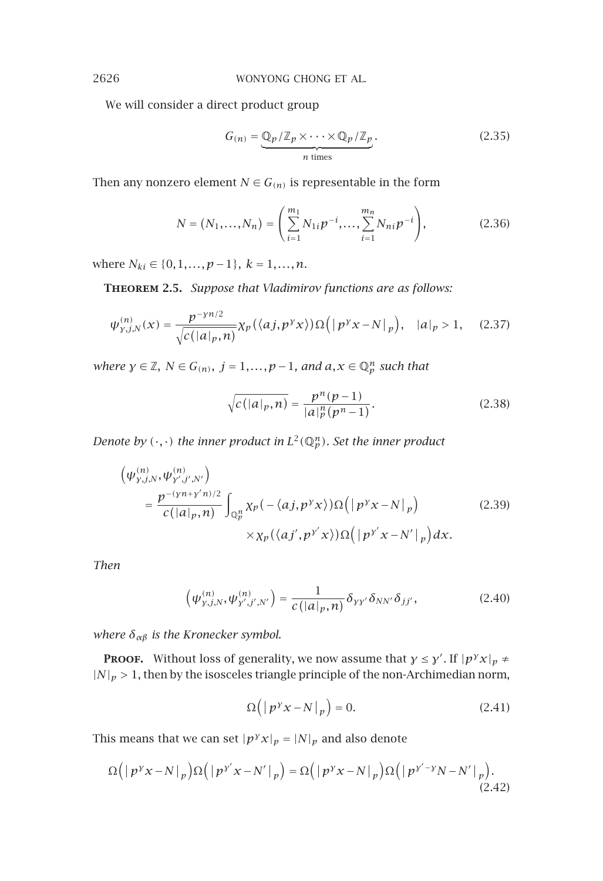We will consider a direct product group

$$
G(n) = \underbrace{\mathbb{Q}_p/\mathbb{Z}_p \times \cdots \times \mathbb{Q}_p/\mathbb{Z}_p}_{n \text{ times}}.
$$
 (2.35)

Then any nonzero element *N*  $\in$  *G*<sub>(n)</sub> is representable in the form

$$
N = (N_1, ..., N_n) = \left(\sum_{i=1}^{m_1} N_{1i} p^{-i}, ..., \sum_{i=1}^{m_n} N_{ni} p^{-i}\right),
$$
 (2.36)

where  $N_{ki}$  ∈ {0*,*1*,..., p* − 1*},*  $k$  = 1*,..., n*.

**Theorem 2.5.** *Suppose that Vladimirov functions are as follows:*

$$
\psi_{\gamma,j,N}^{(n)}(x) = \frac{p^{-\gamma n/2}}{\sqrt{c(|a|_p, n)}} \chi_p(\langle aj, p^{\gamma} x \rangle) \Omega(|p^{\gamma} x - N|_p), \quad |a|_p > 1, \quad (2.37)
$$

*where*  $\gamma \in \mathbb{Z}$ ,  $N \in G(n)$ ,  $j = 1, ..., p - 1$ , and  $a, x \in \mathbb{Q}_p^n$  such that

<span id="page-7-0"></span>
$$
\sqrt{c(|a|_p, n)} = \frac{p^n(p-1)}{|a|_p^n(p^n - 1)}.
$$
\n(2.38)

*Denote by*  $(\cdot, \cdot)$  *the inner product in*  $L^2(\mathbb{Q}_p^n)$ *. Set the inner product* 

$$
\begin{aligned}\n\left(\psi_{y,j,N}^{(n)}, \psi_{y',j',N'}^{(n)}\right) &= \frac{p^{-(\gamma n + y'n)/2}}{c(|a|_p, n)} \int_{\mathbb{Q}_p^n} \chi_p\left(-\langle aj, p^\gamma x \rangle\right) \Omega\left(\left|p^\gamma x - N\right|_p\right) &&\quad (2.39) \\
&\quad \times \chi_p\left(\langle aj', p^{\gamma'} x \rangle\right) \Omega\left(\left|p^{\gamma'} x - N'\right|_p\right) dx.\n\end{aligned}
$$

*Then*

$$
\left(\psi_{\gamma,j,N}^{(n)}, \psi_{\gamma',j',N'}^{(n)}\right) = \frac{1}{c\left(|a|_p,n\right)} \delta_{\gamma\gamma'} \delta_{NN'} \delta_{jj'},\tag{2.40}
$$

*where δαβ is the Kronecker symbol.*

**Proof.** Without loss of generality, we now assume that  $\gamma \leq \gamma'$ . If  $|p^{\gamma}x|_p \neq$  $|N|_p > 1$ , then by the isosceles triangle principle of the non-Archimedian norm,

$$
\Omega\left(\left|p^{\gamma}x - N\right|_{p}\right) = 0. \tag{2.41}
$$

This means that we can set  $|p^{y}x|_p = |N|_p$  and also denote

$$
\Omega(|p^{\gamma}x - N|_{p})\Omega(|p^{\gamma'}x - N'|_{p}) = \Omega(|p^{\gamma}x - N|_{p})\Omega(|p^{\gamma'-\gamma}N - N'|_{p}).
$$
\n(2.42)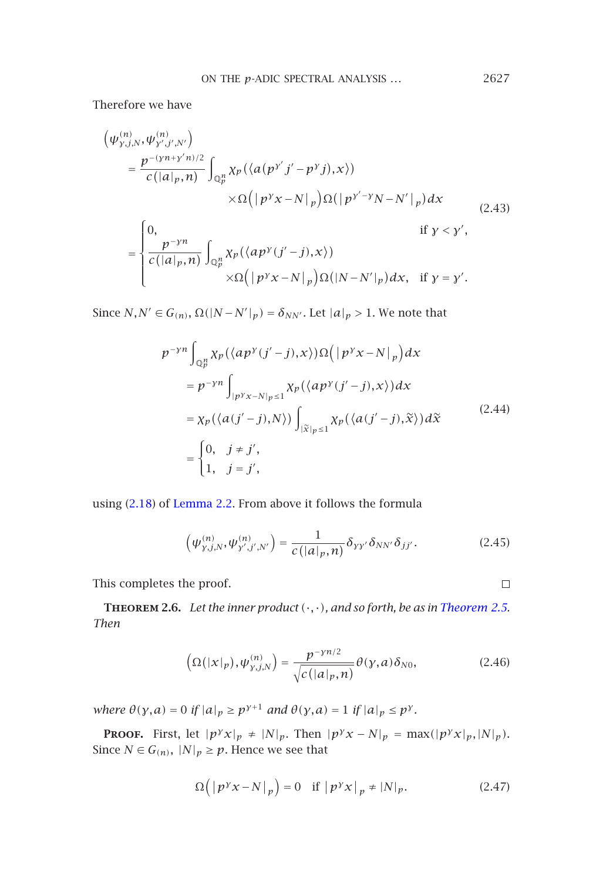ON THE 
$$
p
$$
-ADIC SPECTRAL ANALYSIS ...  $2627$ 

Therefore we have

$$
\begin{split}\n\left(\psi_{y,j,N}^{(n)},\psi_{y',j',N'}^{(n)}\right) &= \frac{p^{-(\gamma n+y'n)/2}}{c(|a|_p,n)} \int_{\mathbb{Q}_p^n} \chi_p\left(\langle a(p^{y'}j'-p^{y}j),x\rangle\right) \\
&\quad \times \Omega\Big(\big|p^{y}x-N\big|_p\Big) \Omega\big(\big|p^{y'-y}N-N'\big|_p\big)dx \\
&= \begin{cases}\n0, & \text{if } y < y', \\
\frac{p^{-\gamma n}}{c(|a|_p,n)} \int_{\mathbb{Q}_p^n} \chi_p\left(\langle ap^{y}(j'-j),x\rangle\right) \\
&\quad \times \Omega\Big(\big|p^{y}x-N\big|_p\Big) \Omega\big(|N-N'\big|_p\big)dx, & \text{if } y = y'.\n\end{cases}\n\end{split} \tag{2.43}
$$

Since  $N, N' \in G(n), \Omega(|N - N'|_p) = \delta_{NN'}$ . Let  $|a|_p > 1$ . We note that

$$
p^{-yn} \int_{\mathbb{Q}_p^n} \chi_p(\langle ap^y(j'-j),x \rangle) \Omega(|p^y x - N|_p) dx
$$
  
\n
$$
= p^{-yn} \int_{|p^y x - N|_p \le 1} \chi_p(\langle ap^y(j'-j),x \rangle) dx
$$
  
\n
$$
= \chi_p(\langle a(j'-j), N \rangle) \int_{|\tilde{x}|_p \le 1} \chi_p(\langle a(j'-j), \tilde{x} \rangle) d\tilde{x}
$$
  
\n
$$
= \begin{cases} 0, & j \ne j', \\ 1, & j = j', \end{cases} (2.44)
$$

<span id="page-8-0"></span>using (2.18) of Lemma 2.2. From above it follows the formula

$$
\left(\psi_{\gamma,j,N}^{(n)},\psi_{\gamma',j',N'}^{(n)}\right) = \frac{1}{c\left(|a|_p,n\right)} \delta_{\gamma\gamma'} \delta_{NN'} \delta_{jj'}.\tag{2.45}
$$

This completes the proof.

 $\Box$ 

**Theorem 2.6.** *Let the inner product (*·*,*·*), and so forth, be as in Theorem 2.5. Then*

$$
\left(\Omega(|x|_p),\psi_{\gamma,j,N}^{(n)}\right) = \frac{p^{-\gamma n/2}}{\sqrt{c\left(|a|_p,n\right)}}\theta(\gamma,a)\delta_{N0},\tag{2.46}
$$

*where*  $\theta(y, a) = 0$  *if*  $|a|_p \ge p^{\gamma+1}$  *and*  $\theta(y, a) = 1$  *if*  $|a|_p \le p^{\gamma}$ *.* 

**PROOF.** First, let  $|p^{\gamma}x|_p \neq |N|_p$ . Then  $|p^{\gamma}x - N|_p = \max(|p^{\gamma}x|_p, |N|_p)$ . Since *N*  $\in$  *G*<sub>(*n*)</sub>,  $|N|_p \ge p$ . Hence we see that

$$
\Omega(|p^{\gamma}x - N|_{p}) = 0 \quad \text{if } |p^{\gamma}x|_{p} = |N|_{p}.
$$
 (2.47)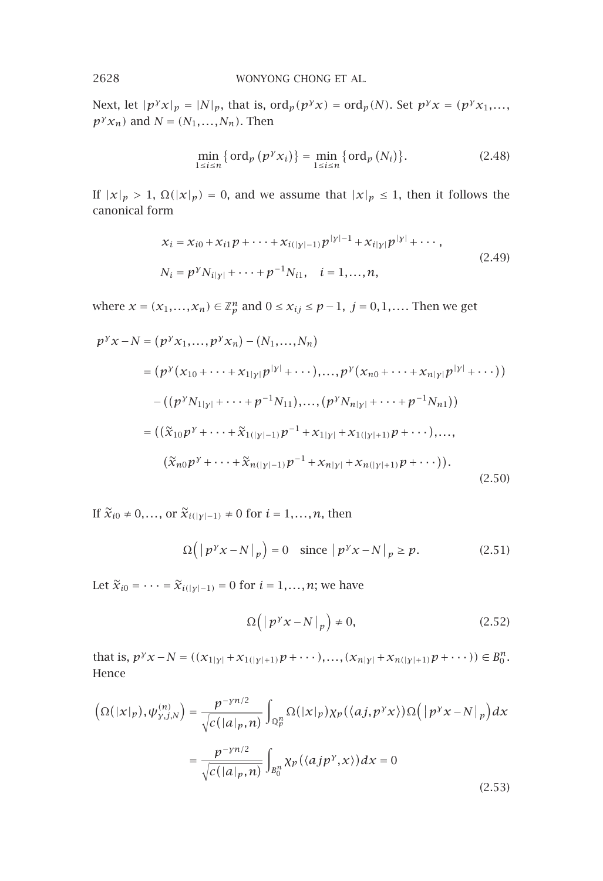Next, let  $|p^{y}x|_p = |N|_p$ , that is,  $\text{ord}_p(p^{y}x) = \text{ord}_p(N)$ . Set  $p^{y}x = (p^{y}x_1, \ldots, p^{y_n})$ *p<sup>γ</sup>x<sub>n</sub>*) and *N* =  $(N_1, ..., N_n)$ . Then

$$
\min_{1 \le i \le n} \{ \operatorname{ord}_p \left( p^{\gamma} x_i \right) \} = \min_{1 \le i \le n} \{ \operatorname{ord}_p \left( N_i \right) \}.
$$
 (2.48)

If  $|x|_p > 1$ ,  $\Omega(|x|_p) = 0$ , and we assume that  $|x|_p \le 1$ , then it follows the canonical form

$$
\begin{aligned} x_i &= x_{i0} + x_{i1}p + \dots + x_{i(|y|-1)}p^{|y|-1} + x_{i|y|}p^{|y|} + \dots, \\ N_i &= p^{\gamma} N_{i|y|} + \dots + p^{-1} N_{i1}, \quad i = 1, \dots, n, \end{aligned} \tag{2.49}
$$

where  $x = (x_1, \ldots, x_n) \in \mathbb{Z}_p^n$  and  $0 \le x_{ij} \le p-1$ ,  $j = 0, 1, \ldots$  Then we get

$$
p^{y}x - N = (p^{y}x_{1},...,p^{y}x_{n}) - (N_{1},...,N_{n})
$$
  
\n
$$
= (p^{y}(x_{10} + \dots + x_{1|y|}p^{|y|} + \dots),...,p^{y}(x_{n0} + \dots + x_{n|y|}p^{|y|} + \dots))
$$
  
\n
$$
-((p^{y}N_{1|y|} + \dots + p^{-1}N_{11}),..., (p^{y}N_{n|y|} + \dots + p^{-1}N_{n1}))
$$
  
\n
$$
= ((\tilde{x}_{10}p^{y} + \dots + \tilde{x}_{1(|y|-1)}p^{-1} + x_{1|y|} + x_{1(|y|+1)}p + \dots),...,
$$
  
\n
$$
(\tilde{x}_{n0}p^{y} + \dots + \tilde{x}_{n(|y|-1)}p^{-1} + x_{n|y|} + x_{n(|y|+1)}p + \dots)).
$$
\n(2.50)

If  $\tilde{x}_{i0}$  ≠ 0,..., or  $\tilde{x}_{i(|y|-1)}$  ≠ 0 for *i* = 1,..., *n*, then

$$
\Omega(|p^{\gamma}x - N|_{p}) = 0 \quad \text{since } |p^{\gamma}x - N|_{p} \ge p. \tag{2.51}
$$

Let  $\widetilde{x}_{i0} = \cdots = \widetilde{x}_{i(|\gamma|-1)} = 0$  for  $i = 1, \ldots, n$ ; we have

$$
\Omega\left(\left|p^{y}x - N\right|_{p}\right) \neq 0, \tag{2.52}
$$

that is,  $p^{\gamma}x - N = ((x_{1|\gamma|} + x_{1(|\gamma|+1)}p + \cdots),..., (x_{n|\gamma|} + x_{n(|\gamma|+1)}p + \cdots)) \in B_0^n$ . Hence

$$
\left(\Omega(|x|_p), \psi_{y,j,N}^{(n)}\right) = \frac{p^{-yn/2}}{\sqrt{c(|a|_p, n)}} \int_{\mathbb{Q}_p^n} \Omega(|x|_p) \chi_p(\langle aj, p^y x \rangle) \Omega(|p^y x - N|_p) dx
$$

$$
= \frac{p^{-yn/2}}{\sqrt{c(|a|_p, n)}} \int_{B_0^n} \chi_p(\langle aj p^y, x \rangle) dx = 0
$$
\n(2.53)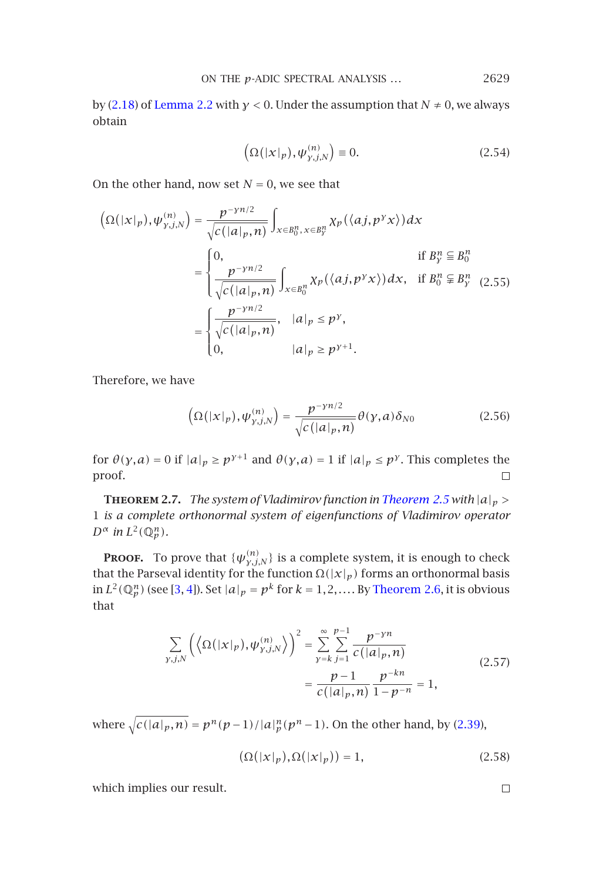ON THE 
$$
p
$$
-ADIC SPECTRAL ANALYSIS ... 2629

by (2.18) of Lemma 2.2 with *γ <* 0. Under the assumption that *N* ≠ 0, we always obtain

$$
\left(\Omega(|x|_p), \psi_{y,j,N}^{(n)}\right) \equiv 0. \tag{2.54}
$$

On the other hand, now set  $N = 0$ , we see that

$$
\left(\Omega(|x|_p), \psi_{y,j,N}^{(n)}\right) = \frac{p^{-yn/2}}{\sqrt{c(|a|_p, n)}} \int_{x \in B_0^n, x \in B_y^n} \chi_p(\langle aj, p^y x \rangle) dx
$$
  
\n
$$
= \begin{cases}\n0, & \text{if } B_y^n \subseteq B_0^n \\
\frac{p^{-yn/2}}{\sqrt{c(|a|_p, n)}} \int_{x \in B_0^n} \chi_p(\langle aj, p^y x \rangle) dx, & \text{if } B_0^n \subseteq B_y^n \\
\frac{p^{-yn/2}}{\sqrt{c(|a|_p, n)}}, & |a|_p \le p^y, \\
0, & |a|_p \ge p^{y+1}.\n\end{cases}
$$

Therefore, we have

$$
\left(\Omega(|x|_p), \psi_{y,j,N}^{(n)}\right) = \frac{p^{-\gamma n/2}}{\sqrt{c\left(|a|_p, n\right)}} \theta(y, a) \delta_{N0}
$$
\n(2.56)

for  $\theta(y, a) = 0$  $\theta(y, a) = 0$  $\theta(y, a) = 0$  [if](#page-13-4)  $|a|_p \ge p^{y+1}$  and  $\theta(y, a) = 1$  if  $|a|_p \le p^y$ . This completes the proof.  $\Box$ 

**THEOREM 2.7.** *The system of Vladimirov function in Theorem 2.5 with*  $|a|_p$  > 1 *is a complete orthonormal system of eigenfunctions of Vladimirov operator*  $D^{\alpha}$  *in*  $L^2(\mathbb{Q}_p^n)$ *.* 

**PROOF.** To prove that  $\{\psi_{\nu,i,N}^{(n)}\}$  is a complete system, it is enough to check that the Parseval identity for the function  $\Omega(|x|_p)$  forms an orthonormal basis in  $L^2(\mathbb{Q}_p^n)$  (see [3, 4]). Set  $|a|_p = p^k$  for  $k = 1, 2, \ldots$  By Theorem 2.6, it [is](#page-7-0) [obv](#page-7-0)ious that

$$
\sum_{\gamma,j,N} \left( \left\langle \Omega(|x|_p), \psi_{\gamma,j,N}^{(n)} \right\rangle \right)^2 = \sum_{\gamma=k}^{\infty} \sum_{j=1}^{p-1} \frac{p^{-\gamma n}}{c(|a|_p, n)} \n= \frac{p-1}{c(|a|_p, n)} \frac{p^{-kn}}{1 - p^{-n}} = 1,
$$
\n(2.57)

*where*  $\sqrt{c(|a|_p, n)} = p^n(p-1)/|a|_p^n(p^n-1)$ . On the other hand, by (2.39),

$$
(\Omega(|x|_p), \Omega(|x|_p)) = 1,\tag{2.58}
$$

which implies our result.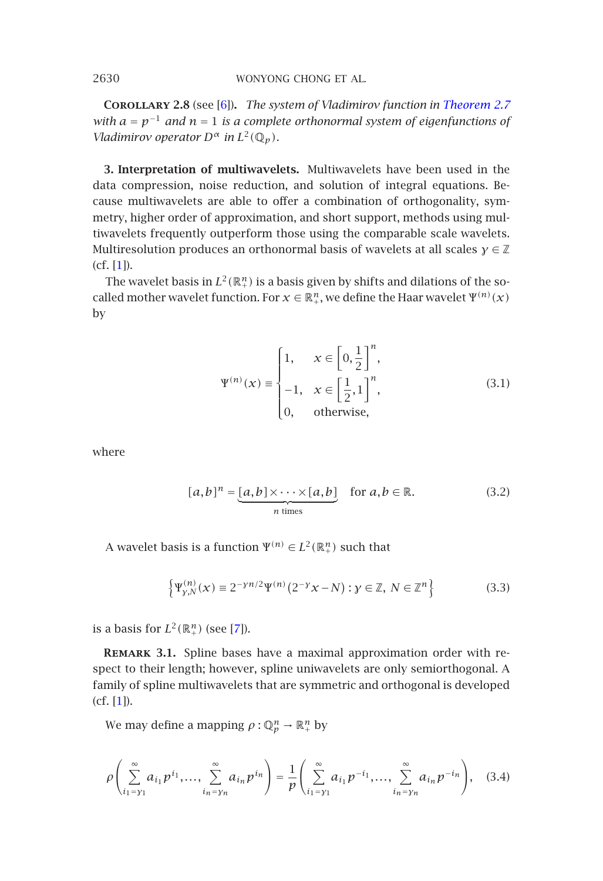**Corollary 2.8** (see [6])**.** *The system of Vladimirov function in Theorem 2.7 with [a](#page-13-5)* = *p*−<sup>1</sup> *and n* = 1 *is a complete orthonormal system of eigenfunctions of Vladimirov operator*  $D^{\alpha}$  *in*  $L^2(\mathbb{Q}_p)$ *.* 

**3. Interpretation of multiwavelets.** Multiwavelets have been used in the data compression, noise reduction, and solution of integral equations. Because multiwavelets are able to offer a combination of orthogonality, symmetry, higher order of approximation, and short support, methods using multiwavelets frequently outperform those using the comparable scale wavelets. Multiresolution produces an orthonormal basis of wavelets at all scales *γ* ∈ Z (cf. [1]).

The wavelet basis in  $L^2(\mathbb{R}^n_+)$  is a basis given by shifts and dilations of the socalled mother wavelet function. For  $x \in \mathbb{R}^n_+$ , we define the Haar wavelet  $\Psi^{(n)}(x)$ by

<span id="page-11-2"></span><span id="page-11-1"></span>
$$
\Psi^{(n)}(x) \equiv \begin{cases} 1, & x \in \left[0, \frac{1}{2}\right]^n, \\ -1, & x \in \left[\frac{1}{2}, 1\right]^n, \\ 0, & \text{otherwise,} \end{cases} \tag{3.1}
$$

where

$$
[a,b]^n = \underbrace{[a,b] \times \cdots \times [a,b]}_{n \text{ times}} \quad \text{for } a,b \in \mathbb{R}.
$$
 (3.2)

A wavelet basis is a function  $\Psi^{(n)} \in L^2(\mathbb{R}^n_+)$  such that

$$
\left\{ \Psi_{\mathcal{Y},N}^{(n)}(x) \equiv 2^{-\gamma n/2} \Psi^{(n)}(2^{-\gamma} x - N) : \mathcal{Y} \in \mathbb{Z}, \ N \in \mathbb{Z}^n \right\}
$$
 (3.3)

is a basis for  $L^2(\mathbb{R}^n_+)$  (see [7]).

**Remark 3.1.** Spline bases have a maximal approximation order with respect to their length; however, spline uniwavelets are only semiorthogonal. A family of spline multiwavelets that are symmetric and orthogonal is developed (cf. [1]).

We may define a mapping  $\rho : \mathbb{Q}_p^n \to \mathbb{R}_+^n$  by

$$
\rho\left(\sum_{i_1=\gamma_1}^{\infty} a_{i_1} p^{i_1}, \dots, \sum_{i_n=\gamma_n}^{\infty} a_{i_n} p^{i_n}\right) = \frac{1}{p}\left(\sum_{i_1=\gamma_1}^{\infty} a_{i_1} p^{-i_1}, \dots, \sum_{i_n=\gamma_n}^{\infty} a_{i_n} p^{-i_n}\right),
$$
 (3.4)

<span id="page-11-0"></span>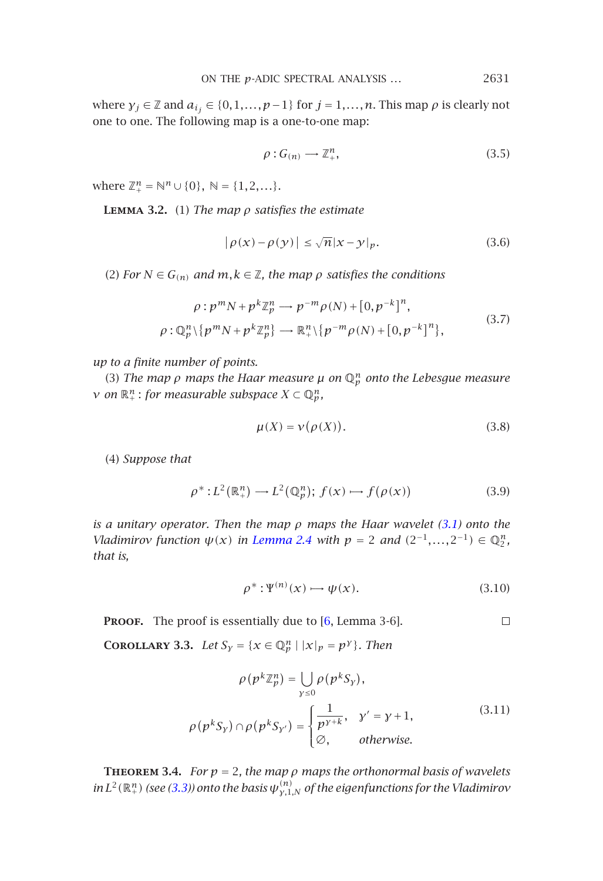ON THE 
$$
p
$$
-ADIC SPECTRAL ANALYSIS ...  $2631$ 

where  $\gamma_j \in \mathbb{Z}$  and  $a_{i_j} \in \{0, 1, \ldots, p-1\}$  for  $j = 1, \ldots, n$ . This map  $\rho$  is clearly not one to one. The following map is a one-to-one map:

$$
\rho: G_{(n)} \longrightarrow \mathbb{Z}_+^n,\tag{3.5}
$$

where  $\mathbb{Z}_{+}^{n} = \mathbb{N}^{n} \cup \{0\}, \ \mathbb{N} = \{1, 2, ...\}.$ 

**Lemma 3.2.** (1) *The map ρ satisfies the estimate*

$$
|\rho(x) - \rho(y)| \le \sqrt{n}|x - y|_p. \tag{3.6}
$$

(2) *For*  $N \in G_{(n)}$  *and*  $m, k \in \mathbb{Z}$ *, the map*  $\rho$  *satisfies the conditions* 

$$
\rho: p^m N + p^k \mathbb{Z}_p^n \longrightarrow p^{-m} \rho(N) + [0, p^{-k}]^n,
$$
  

$$
\rho: \mathbb{Q}_p^n \setminus \{p^m N + p^k \mathbb{Z}_p^n\} \longrightarrow \mathbb{R}_+^n \setminus \{p^{-m} \rho(N) + [0, p^{-k}]^n\},
$$
\n(3.7)

*up to a finite number of points.*

(3) *The map ρ maps the Haar measure µ on* Q*<sup>n</sup> <sup>p</sup> onto the Lebe[sgue](#page-11-1) measure*  $\nu$  *on*  $\mathbb{R}^n_+$ : *for measurable sub[space](#page-4-2)*  $X \subset \mathbb{Q}_p^n$ *,* 

$$
\mu(X) = \nu(\rho(X)).\tag{3.8}
$$

(4) *Suppose that*

$$
\rho^*: L^2(\mathbb{R}^n_+) \to L^2(\mathbb{Q}^n_p); f(x) \mapsto f(\rho(x)) \tag{3.9}
$$

*is a unitary operator. Then the map ρ maps the Haar wavelet (3.1) onto the Vladimirov function*  $\psi(x)$  *in Lemma 2.4 with*  $p = 2$  *and*  $(2^{-1},...,2^{-1}) \in \mathbb{Q}_2^n$ *, that is,*

$$
\rho^* : \Psi^{(n)}(x) \longrightarrow \psi(x). \tag{3.10}
$$

<span id="page-12-0"></span>PROOF. The proof is essentially due to [6, Lemma 3-6].  $\Box$ 

**COROLLARY [3.3](#page-11-2).** *Let*  $S_{\gamma} = \{x \in \mathbb{Q}_{p}^{n} | |x|_{p} = p^{\gamma}\}\$ . *Then* 

$$
\rho(p^k \mathbb{Z}_p^n) = \bigcup_{y \le 0} \rho(p^k S_y),
$$
\n
$$
\rho(p^k S_y) \cap \rho(p^k S_{y'}) = \begin{cases}\n\frac{1}{p^{y+k}}, & y' = y + 1, \\
\varnothing, & \text{otherwise.} \n\end{cases}
$$
\n(3.11)

**THEOREM** 3.4. *For*  $p = 2$ , the map  $\rho$  maps the orthonormal basis of wavelets *in*  $L^2(\mathbb{R}^n_+)$  *(see (3.3)) onto the basis*  $\psi_{\gamma,1,N}^{(n)}$  *of the eigenfunctions for the Vladimirov*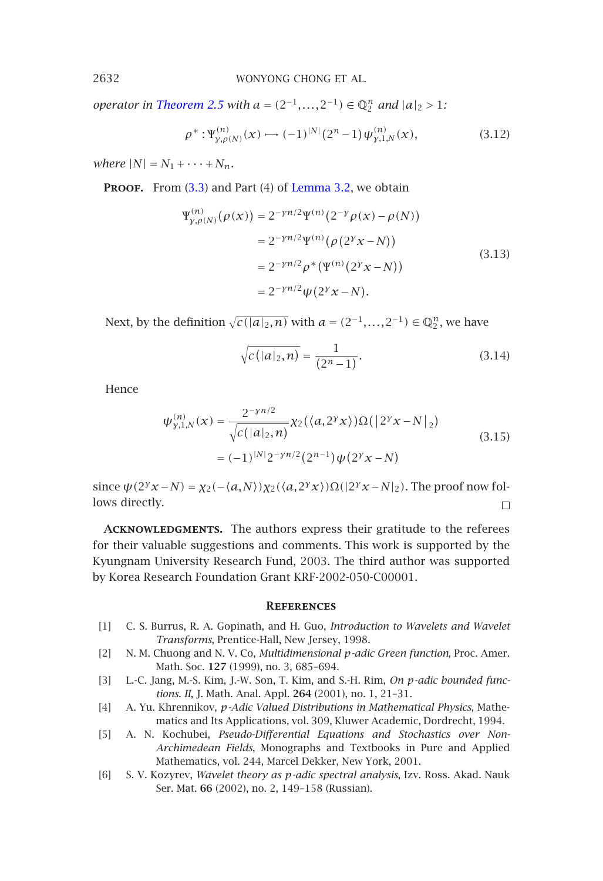*operator in Theorem 2.5 with*  $a = (2^{-1},...,2^{-1}) \in \mathbb{Q}_2^n$  *and*  $|a|_2 > 1$ *:* 

$$
\rho^*: \Psi_{\gamma,\rho(N)}^{(n)}(x) \longrightarrow (-1)^{|N|} (2^n - 1) \psi_{\gamma,1,N}^{(n)}(x), \tag{3.12}
$$

*where*  $|N| = N_1 + \cdots + N_n$ *.* 

**PROOF.** From (3.3) and Part (4) of Lemma 3.2, we obtain

$$
\Psi_{\gamma,\rho(N)}^{(n)}(\rho(x)) = 2^{-\gamma n/2} \Psi^{(n)}(2^{-\gamma} \rho(x) - \rho(N))
$$
  
= 2^{-\gamma n/2} \Psi^{(n)}(\rho(2^{\gamma} x - N))  
= 2^{-\gamma n/2} \rho^\* (\Psi^{(n)}(2^{\gamma} x - N))  
= 2^{-\gamma n/2} \psi(2^{\gamma} x - N). (3.13)

Next, by the definition  $\sqrt{c(|a|_2, n)}$  with  $a = (2^{-1}, \ldots, 2^{-1}) \in \mathbb{Q}_2^n$ , we have

$$
\sqrt{c(|a|_2, n)} = \frac{1}{(2^n - 1)}.
$$
\n(3.14)

Hence

$$
\psi_{\gamma,1,N}^{(n)}(x) = \frac{2^{-\gamma n/2}}{\sqrt{c(|a|_2, n)}} \chi_2(\langle a, 2^{\gamma} x \rangle) \Omega(|2^{\gamma} x - N|_2)
$$
  
=  $(-1)^{|N|} 2^{-\gamma n/2} (2^{n-1}) \psi(2^{\gamma} x - N)$  (3.15)

<span id="page-13-5"></span><span id="page-13-2"></span>since  $ψ(2<sup>y</sup>x - N) = χ<sub>2</sub>(−*a*,N)χ<sub>2</sub>(*a*,2<sup>y</sup>x)Ω(|2<sup>y</sup>x - N|<sub>2</sub>)$ . The proof now follows directly.  $\Box$ 

<span id="page-13-4"></span><span id="page-13-3"></span>ACKNOWLEDGMENTS. The authors express their gratitude to the referees for their valuable suggestions and comments. This work is supported by the Kyungnam University Research Fund, 2003. The third author was supported by Korea Research Foundation Grant KRF-2002-050-C00001.

## **References**

- <span id="page-13-1"></span><span id="page-13-0"></span>[1] C. S. Burrus, R. A. Gopinath, and H. Guo, *Introduction to Wavelets and Wavelet Transforms*, Prentice-Hall, New Jersey, 1998.
- [2] N. M. Chuong and N. V. Co, *Multidimensional p-adic Green function*, Proc. Amer. Math. Soc. **127** (1999), no. 3, 685–694.
- [3] L.-C. Jang, M.-S. Kim, J.-W. Son, T. Kim, and S.-H. Rim, *On p-adic bounded functions. II*, J. Math. Anal. Appl. **264** (2001), no. 1, 21–31.
- [4] A. Yu. Khrennikov, *p-Adic Valued Distributions in Mathematical Physics*, Mathematics and Its Applications, vol. 309, Kluwer Academic, Dordrecht, 1994.
- [5] A. N. Kochubei, *Pseudo-Differential Equations and Stochastics over Non-Archimedean Fields*, Monographs and Textbooks in Pure and Applied Mathematics, vol. 244, Marcel Dekker, New York, 2001.
- [6] S. V. Kozyrev, *Wavelet theory as p-adic spectral analysis*, Izv. Ross. Akad. Nauk Ser. Mat. **66** (2002), no. 2, 149–158 (Russian).